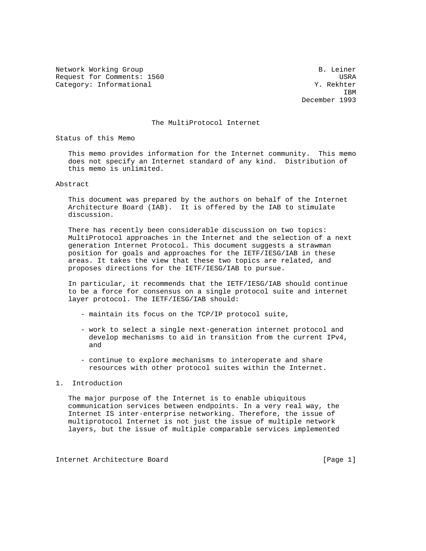Network Working Group and Section 1997 and Section 1997 and Section 1997 and Section 1997 and Section 1997 and S Request for Comments: 1560 USRA Category: Informational 7. Rekhter

**IBM IBM** December 1993

## The MultiProtocol Internet

Status of this Memo

 This memo provides information for the Internet community. This memo does not specify an Internet standard of any kind. Distribution of this memo is unlimited.

Abstract

 This document was prepared by the authors on behalf of the Internet Architecture Board (IAB). It is offered by the IAB to stimulate discussion.

 There has recently been considerable discussion on two topics: MultiProtocol approaches in the Internet and the selection of a next generation Internet Protocol. This document suggests a strawman position for goals and approaches for the IETF/IESG/IAB in these areas. It takes the view that these two topics are related, and proposes directions for the IETF/IESG/IAB to pursue.

 In particular, it recommends that the IETF/IESG/IAB should continue to be a force for consensus on a single protocol suite and internet layer protocol. The IETF/IESG/IAB should:

- maintain its focus on the TCP/IP protocol suite,
- work to select a single next-generation internet protocol and develop mechanisms to aid in transition from the current IPv4, and
- continue to explore mechanisms to interoperate and share resources with other protocol suites within the Internet.
- 1. Introduction

 The major purpose of the Internet is to enable ubiquitous communication services between endpoints. In a very real way, the Internet IS inter-enterprise networking. Therefore, the issue of multiprotocol Internet is not just the issue of multiple network layers, but the issue of multiple comparable services implemented

Internet Architecture Board [Page 1]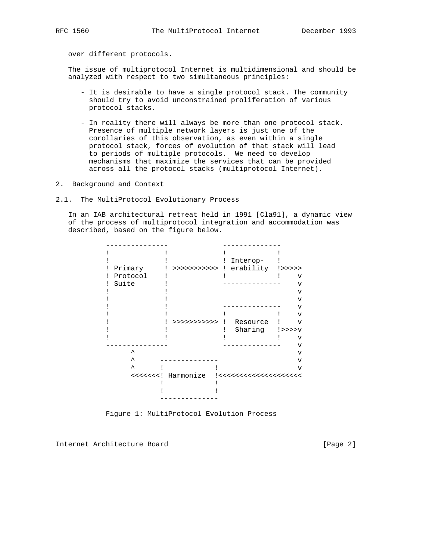over different protocols.

 The issue of multiprotocol Internet is multidimensional and should be analyzed with respect to two simultaneous principles:

- It is desirable to have a single protocol stack. The community should try to avoid unconstrained proliferation of various protocol stacks.
- In reality there will always be more than one protocol stack. Presence of multiple network layers is just one of the corollaries of this observation, as even within a single protocol stack, forces of evolution of that stack will lead to periods of multiple protocols. We need to develop mechanisms that maximize the services that can be provided across all the protocol stacks (multiprotocol Internet).
- 2. Background and Context
- 2.1. The MultiProtocol Evolutionary Process

 In an IAB architectural retreat held in 1991 [Cla91], a dynamic view of the process of multiprotocol integration and accommodation was described, based on the figure below.

|          |                | Interop-                                             |                                              |
|----------|----------------|------------------------------------------------------|----------------------------------------------|
| Primary  |                | >>>>>>>>>>>> ! erability                             | !>>>>>                                       |
| Protocol |                |                                                      | $\overline{V}$                               |
| Suite    |                |                                                      | $\tau$                                       |
|          |                |                                                      | $\overline{V}$                               |
|          |                |                                                      | $\overline{V}$                               |
|          |                |                                                      | ٦T                                           |
|          |                |                                                      | $\tau$                                       |
|          | >>>>>>>>>>>> ! | Resource                                             | $\tau$                                       |
|          |                | Sharing                                              | $! \rightarrow \rightarrow \rightarrow \lor$ |
|          |                |                                                      | $\overline{V}$                               |
|          |                |                                                      | ٦T                                           |
| ᄉ        |                |                                                      | ٦T                                           |
| ᄉ        |                |                                                      | ٦T                                           |
| ᄉ        |                |                                                      | ٦Τ                                           |
|          |                | <<<<<< Harmonize !<<<<<<<<<<<<<<<<<<<<</td <td></td> |                                              |
|          |                |                                                      |                                              |
|          |                |                                                      |                                              |
|          |                |                                                      |                                              |

Figure 1: MultiProtocol Evolution Process

Internet Architecture Board [Page 2]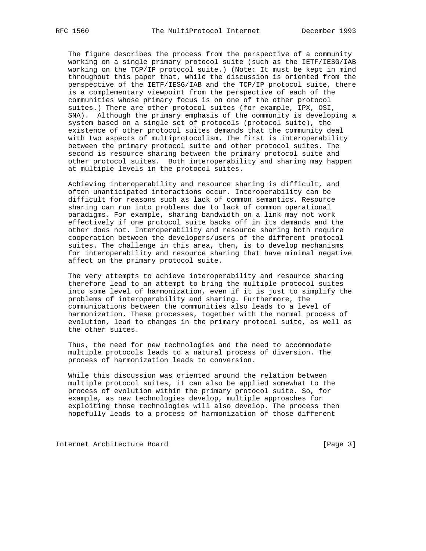The figure describes the process from the perspective of a community working on a single primary protocol suite (such as the IETF/IESG/IAB working on the TCP/IP protocol suite.) (Note: It must be kept in mind throughout this paper that, while the discussion is oriented from the perspective of the IETF/IESG/IAB and the TCP/IP protocol suite, there is a complementary viewpoint from the perspective of each of the communities whose primary focus is on one of the other protocol suites.) There are other protocol suites (for example, IPX, OSI, SNA). Although the primary emphasis of the community is developing a system based on a single set of protocols (protocol suite), the existence of other protocol suites demands that the community deal with two aspects of multiprotocolism. The first is interoperability between the primary protocol suite and other protocol suites. The second is resource sharing between the primary protocol suite and other protocol suites. Both interoperability and sharing may happen at multiple levels in the protocol suites.

 Achieving interoperability and resource sharing is difficult, and often unanticipated interactions occur. Interoperability can be difficult for reasons such as lack of common semantics. Resource sharing can run into problems due to lack of common operational paradigms. For example, sharing bandwidth on a link may not work effectively if one protocol suite backs off in its demands and the other does not. Interoperability and resource sharing both require cooperation between the developers/users of the different protocol suites. The challenge in this area, then, is to develop mechanisms for interoperability and resource sharing that have minimal negative affect on the primary protocol suite.

 The very attempts to achieve interoperability and resource sharing therefore lead to an attempt to bring the multiple protocol suites into some level of harmonization, even if it is just to simplify the problems of interoperability and sharing. Furthermore, the communications between the communities also leads to a level of harmonization. These processes, together with the normal process of evolution, lead to changes in the primary protocol suite, as well as the other suites.

 Thus, the need for new technologies and the need to accommodate multiple protocols leads to a natural process of diversion. The process of harmonization leads to conversion.

 While this discussion was oriented around the relation between multiple protocol suites, it can also be applied somewhat to the process of evolution within the primary protocol suite. So, for example, as new technologies develop, multiple approaches for exploiting those technologies will also develop. The process then hopefully leads to a process of harmonization of those different

Internet Architecture Board [Page 3]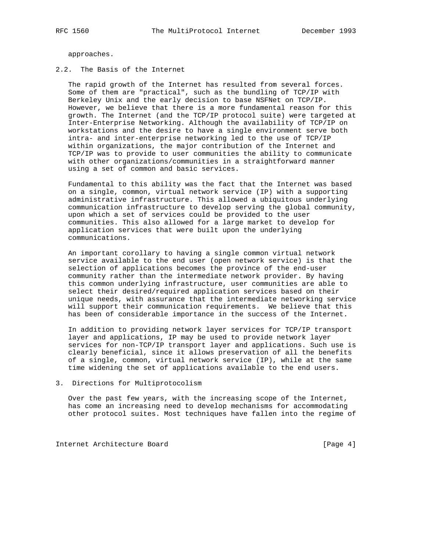approaches.

2.2. The Basis of the Internet

 The rapid growth of the Internet has resulted from several forces. Some of them are "practical", such as the bundling of TCP/IP with Berkeley Unix and the early decision to base NSFNet on TCP/IP. However, we believe that there is a more fundamental reason for this growth. The Internet (and the TCP/IP protocol suite) were targeted at Inter-Enterprise Networking. Although the availability of TCP/IP on workstations and the desire to have a single environment serve both intra- and inter-enterprise networking led to the use of TCP/IP within organizations, the major contribution of the Internet and TCP/IP was to provide to user communities the ability to communicate with other organizations/communities in a straightforward manner using a set of common and basic services.

 Fundamental to this ability was the fact that the Internet was based on a single, common, virtual network service (IP) with a supporting administrative infrastructure. This allowed a ubiquitous underlying communication infrastructure to develop serving the global community, upon which a set of services could be provided to the user communities. This also allowed for a large market to develop for application services that were built upon the underlying communications.

 An important corollary to having a single common virtual network service available to the end user (open network service) is that the selection of applications becomes the province of the end-user community rather than the intermediate network provider. By having this common underlying infrastructure, user communities are able to select their desired/required application services based on their unique needs, with assurance that the intermediate networking service will support their communication requirements. We believe that this has been of considerable importance in the success of the Internet.

 In addition to providing network layer services for TCP/IP transport layer and applications, IP may be used to provide network layer services for non-TCP/IP transport layer and applications. Such use is clearly beneficial, since it allows preservation of all the benefits of a single, common, virtual network service (IP), while at the same time widening the set of applications available to the end users.

3. Directions for Multiprotocolism

 Over the past few years, with the increasing scope of the Internet, has come an increasing need to develop mechanisms for accommodating other protocol suites. Most techniques have fallen into the regime of

Internet Architecture Board [Page 4]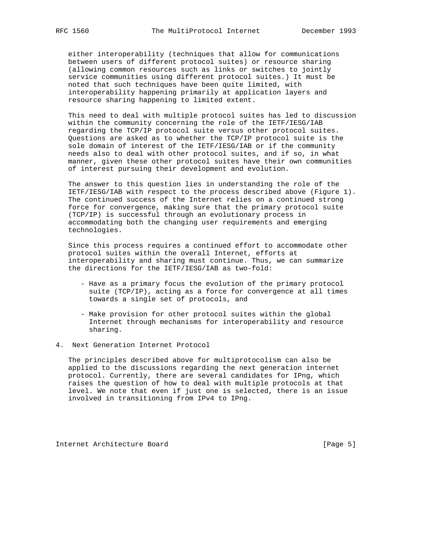either interoperability (techniques that allow for communications between users of different protocol suites) or resource sharing (allowing common resources such as links or switches to jointly service communities using different protocol suites.) It must be noted that such techniques have been quite limited, with interoperability happening primarily at application layers and resource sharing happening to limited extent.

 This need to deal with multiple protocol suites has led to discussion within the community concerning the role of the IETF/IESG/IAB regarding the TCP/IP protocol suite versus other protocol suites. Questions are asked as to whether the TCP/IP protocol suite is the sole domain of interest of the IETF/IESG/IAB or if the community needs also to deal with other protocol suites, and if so, in what manner, given these other protocol suites have their own communities of interest pursuing their development and evolution.

 The answer to this question lies in understanding the role of the IETF/IESG/IAB with respect to the process described above (Figure 1). The continued success of the Internet relies on a continued strong force for convergence, making sure that the primary protocol suite (TCP/IP) is successful through an evolutionary process in accommodating both the changing user requirements and emerging technologies.

 Since this process requires a continued effort to accommodate other protocol suites within the overall Internet, efforts at interoperability and sharing must continue. Thus, we can summarize the directions for the IETF/IESG/IAB as two-fold:

- Have as a primary focus the evolution of the primary protocol suite (TCP/IP), acting as a force for convergence at all times towards a single set of protocols, and
- Make provision for other protocol suites within the global Internet through mechanisms for interoperability and resource sharing.
- 4. Next Generation Internet Protocol

 The principles described above for multiprotocolism can also be applied to the discussions regarding the next generation internet protocol. Currently, there are several candidates for IPng, which raises the question of how to deal with multiple protocols at that level. We note that even if just one is selected, there is an issue involved in transitioning from IPv4 to IPng.

Internet Architecture Board [Page 5]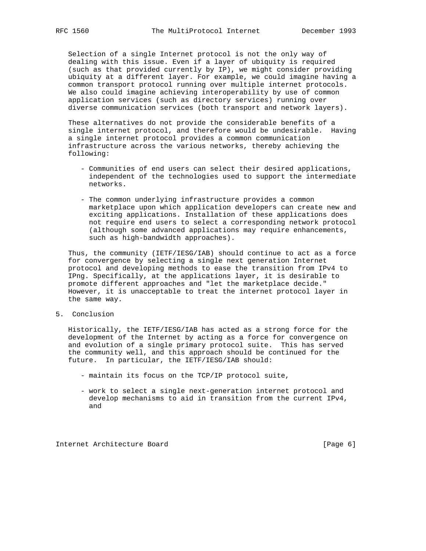Selection of a single Internet protocol is not the only way of dealing with this issue. Even if a layer of ubiquity is required (such as that provided currently by IP), we might consider providing ubiquity at a different layer. For example, we could imagine having a common transport protocol running over multiple internet protocols. We also could imagine achieving interoperability by use of common application services (such as directory services) running over diverse communication services (both transport and network layers).

 These alternatives do not provide the considerable benefits of a single internet protocol, and therefore would be undesirable. Having a single internet protocol provides a common communication infrastructure across the various networks, thereby achieving the following:

- Communities of end users can select their desired applications, independent of the technologies used to support the intermediate networks.
- The common underlying infrastructure provides a common marketplace upon which application developers can create new and exciting applications. Installation of these applications does not require end users to select a corresponding network protocol (although some advanced applications may require enhancements, such as high-bandwidth approaches).

 Thus, the community (IETF/IESG/IAB) should continue to act as a force for convergence by selecting a single next generation Internet protocol and developing methods to ease the transition from IPv4 to IPng. Specifically, at the applications layer, it is desirable to promote different approaches and "let the marketplace decide." However, it is unacceptable to treat the internet protocol layer in the same way.

5. Conclusion

 Historically, the IETF/IESG/IAB has acted as a strong force for the development of the Internet by acting as a force for convergence on and evolution of a single primary protocol suite. This has served the community well, and this approach should be continued for the future. In particular, the IETF/IESG/IAB should:

- maintain its focus on the TCP/IP protocol suite,
- work to select a single next-generation internet protocol and develop mechanisms to aid in transition from the current IPv4, and

Internet Architecture Board [Page 6]